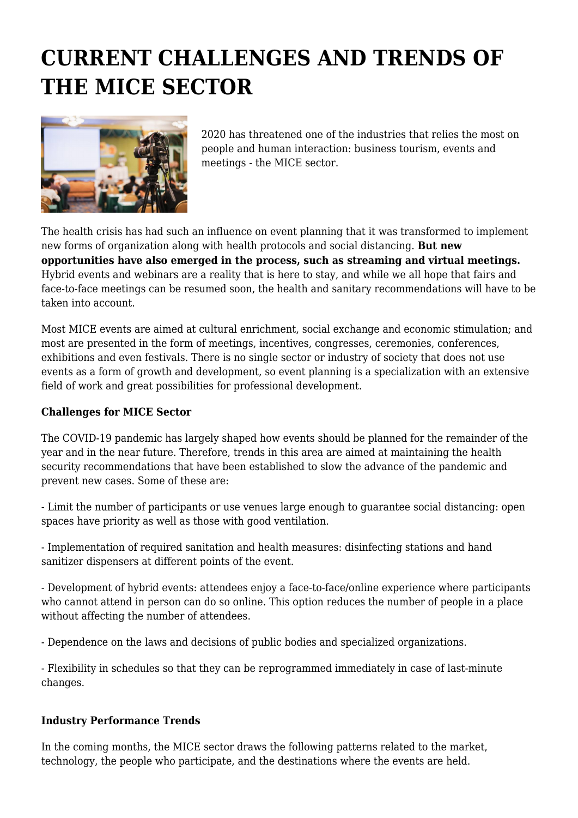# **CURRENT CHALLENGES AND TRENDS OF THE MICE SECTOR**



2020 has threatened one of the industries that relies the most on people and human interaction: business tourism, events and meetings - the MICE sector.

The health crisis has had such an influence on event planning that it was transformed to implement new forms of organization along with health protocols and social distancing. **But new opportunities have also emerged in the process, such as streaming and virtual meetings.** Hybrid events and webinars are a reality that is here to stay, and while we all hope that fairs and face-to-face meetings can be resumed soon, the health and sanitary recommendations will have to be taken into account.

Most MICE events are aimed at cultural enrichment, social exchange and economic stimulation; and most are presented in the form of meetings, incentives, congresses, ceremonies, conferences, exhibitions and even festivals. There is no single sector or industry of society that does not use events as a form of growth and development, so event planning is a specialization with an extensive field of work and great possibilities for professional development.

#### **Challenges for MICE Sector**

The COVID-19 pandemic has largely shaped how events should be planned for the remainder of the year and in the near future. Therefore, trends in this area are aimed at maintaining the health security recommendations that have been established to slow the advance of the pandemic and prevent new cases. Some of these are:

- Limit the number of participants or use venues large enough to guarantee social distancing: open spaces have priority as well as those with good ventilation.

- Implementation of required sanitation and health measures: disinfecting stations and hand sanitizer dispensers at different points of the event.

- Development of hybrid events: attendees enjoy a face-to-face/online experience where participants who cannot attend in person can do so online. This option reduces the number of people in a place without affecting the number of attendees.

- Dependence on the laws and decisions of public bodies and specialized organizations.

- Flexibility in schedules so that they can be reprogrammed immediately in case of last-minute changes.

### **Industry Performance Trends**

In the coming months, the MICE sector draws the following patterns related to the market, technology, the people who participate, and the destinations where the events are held.